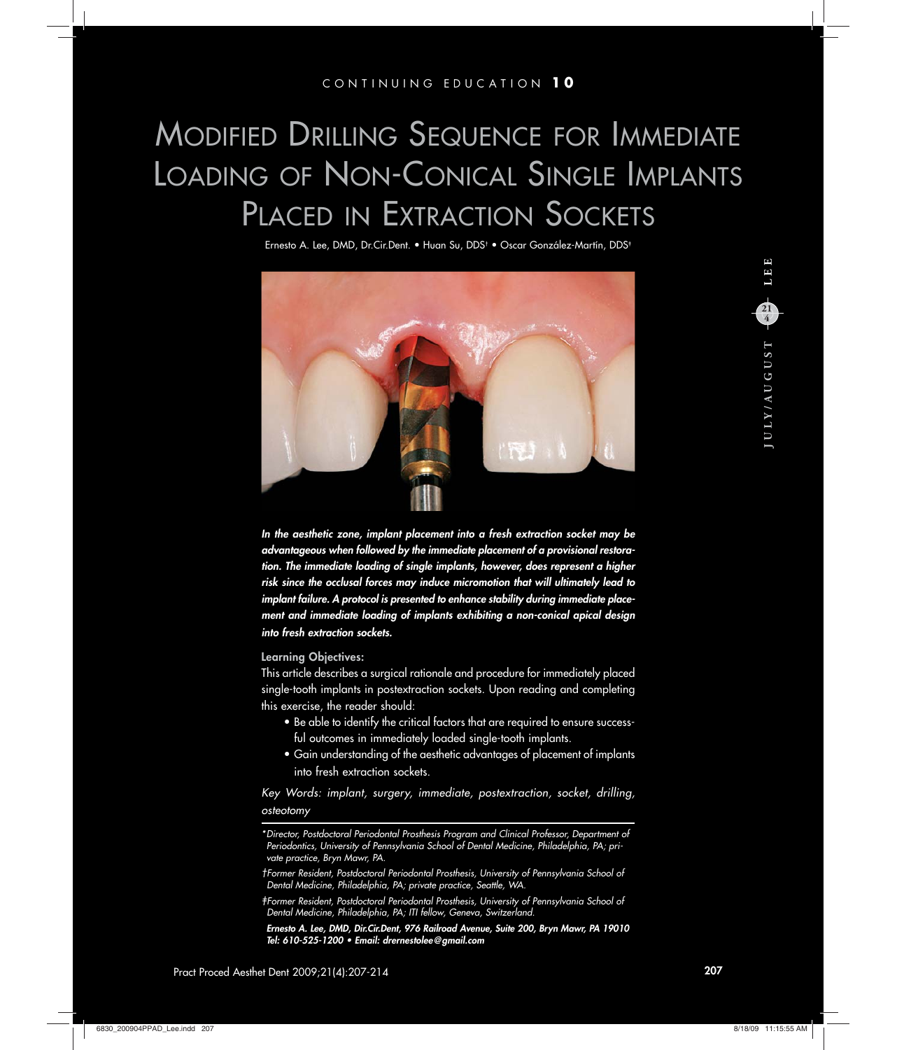## MODIFIED DRILLING SEQUENCE FOR IMMEDIATE LOADING OF NON-CONICAL SINGLE IMPLANTS PLACED IN EXTRACTION SOCKETS

Ernesto A. Lee, DMD, Dr.Cir.Dent. ● Huan Su, DDS<sup>†</sup> ● Oscar González-Martín, DDS‡



*In the aesthetic zone, implant placement into a fresh extraction socket may be advantageous when followed by the immediate placement of a provisional restoration. The immediate loading of single implants, however, does represent a higher risk since the occlusal forces may induce micromotion that will ultimately lead to implant failure. A protocol is presented to enhance stability during immediate placement and immediate loading of implants exhibiting a non-conical apical design into fresh extraction sockets.*

### **Learning Objectives:**

This article describes a surgical rationale and procedure for immediately placed single-tooth implants in postextraction sockets. Upon reading and completing this exercise, the reader should:

- Be able to identify the critical factors that are required to ensure successful outcomes in immediately loaded single-tooth implants.
- Gain understanding of the aesthetic advantages of placement of implants into fresh extraction sockets.

*Key Words: implant, surgery, immediate, postextraction, socket, drilling, osteotomy*

*<sup>\*</sup> Director, Postdoctoral Periodontal Prosthesis Program and Clinical Professor, Department of Periodontics, University of Pennsylvania School of Dental Medicine, Philadelphia, PA; private practice, Bryn Mawr, PA.*

*<sup>†</sup> Former Resident, Postdoctoral Periodontal Prosthesis, University of Pennsylvania School of Dental Medicine, Philadelphia, PA; private practice, Seattle, WA.*

*<sup>‡</sup> Former Resident, Postdoctoral Periodontal Prosthesis, University of Pennsylvania School of Dental Medicine, Philadelphia, PA; ITI fellow, Geneva, Switzerland.*

*Ernesto A. Lee, DMD, Dir.Cir.Dent, 976 Railroad Avenue, Suite 200, Bryn Mawr, PA 19010 Tel: 610-525-1200 • Email: drernestolee@gmail.com*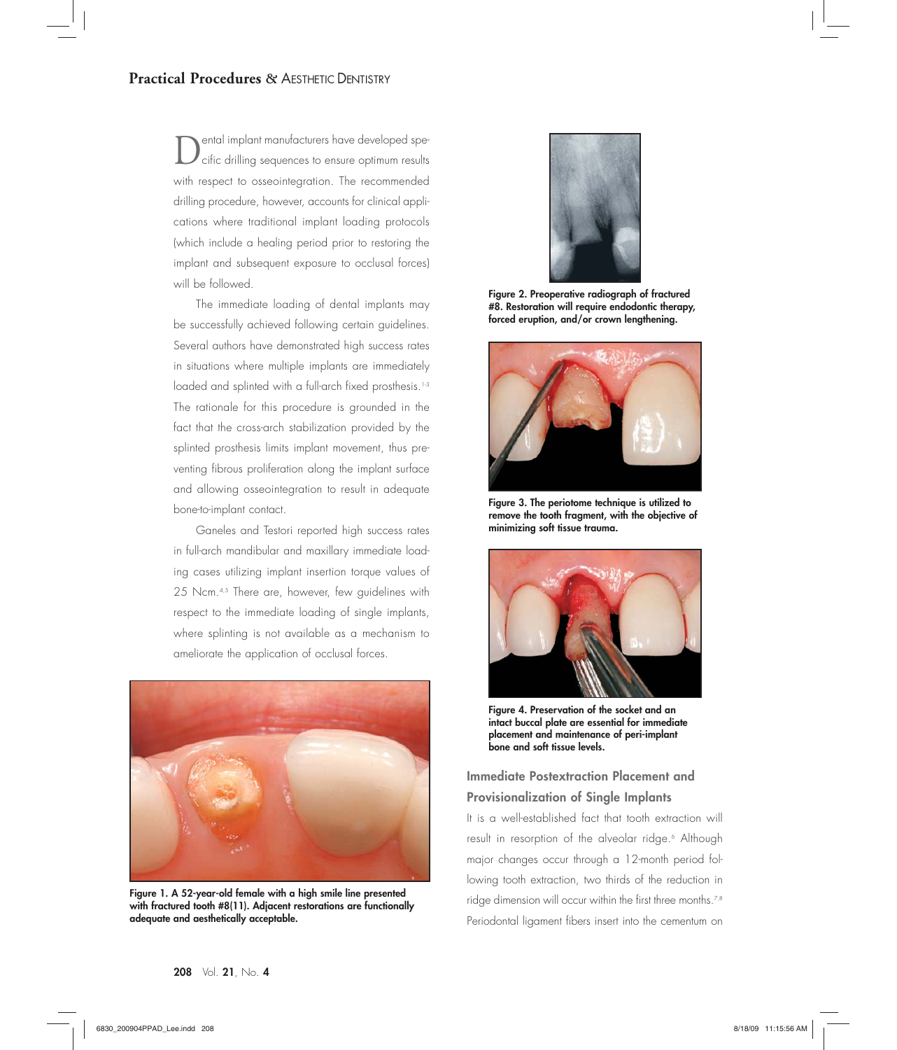Dental implant manutacturers have developed spe-<br>Cific drilling sequences to ensure optimum results with respect to osseointegration. The recommended drilling procedure, however, accounts for clinical applications where traditional implant loading protocols (which include a healing period prior to restoring the implant and subsequent exposure to occlusal forces) will be followed.

The immediate loading of dental implants may be successfully achieved following certain guidelines. Several authors have demonstrated high success rates in situations where multiple implants are immediately loaded and splinted with a full-arch fixed prosthesis.<sup>1-3</sup> The rationale for this procedure is grounded in the fact that the cross-arch stabilization provided by the splinted prosthesis limits implant movement, thus preventing fibrous proliferation along the implant surface and allowing osseointegration to result in adequate bone-to-implant contact.

Ganeles and Testori reported high success rates in full-arch mandibular and maxillary immediate loading cases utilizing implant insertion torque values of 25 Ncm.<sup>4,5</sup> There are, however, few guidelines with respect to the immediate loading of single implants, where splinting is not available as a mechanism to ameliorate the application of occlusal forces.



**Figure 1. A 52-year-old female with a high smile line presented with fractured tooth #8(11). Adjacent restorations are functionally adequate and aesthetically acceptable.**



**Figure 2. Preoperative radiograph of fractured #8. Restoration will require endodontic therapy, forced eruption, and/or crown lengthening.**



**Figure 3. The periotome technique is utilized to remove the tooth fragment, with the objective of minimizing soft tissue trauma.**



**Figure 4. Preservation of the socket and an intact buccal plate are essential for immediate placement and maintenance of peri-implant bone and soft tissue levels.**

## **Immediate Postextraction Placement and Provisionalization of Single Implants**

It is a well-established fact that tooth extraction will result in resorption of the alveolar ridge.6 Although major changes occur through a 12-month period following tooth extraction, two thirds of the reduction in ridge dimension will occur within the first three months.<sup>7,8</sup> Periodontal ligament fibers insert into the cementum on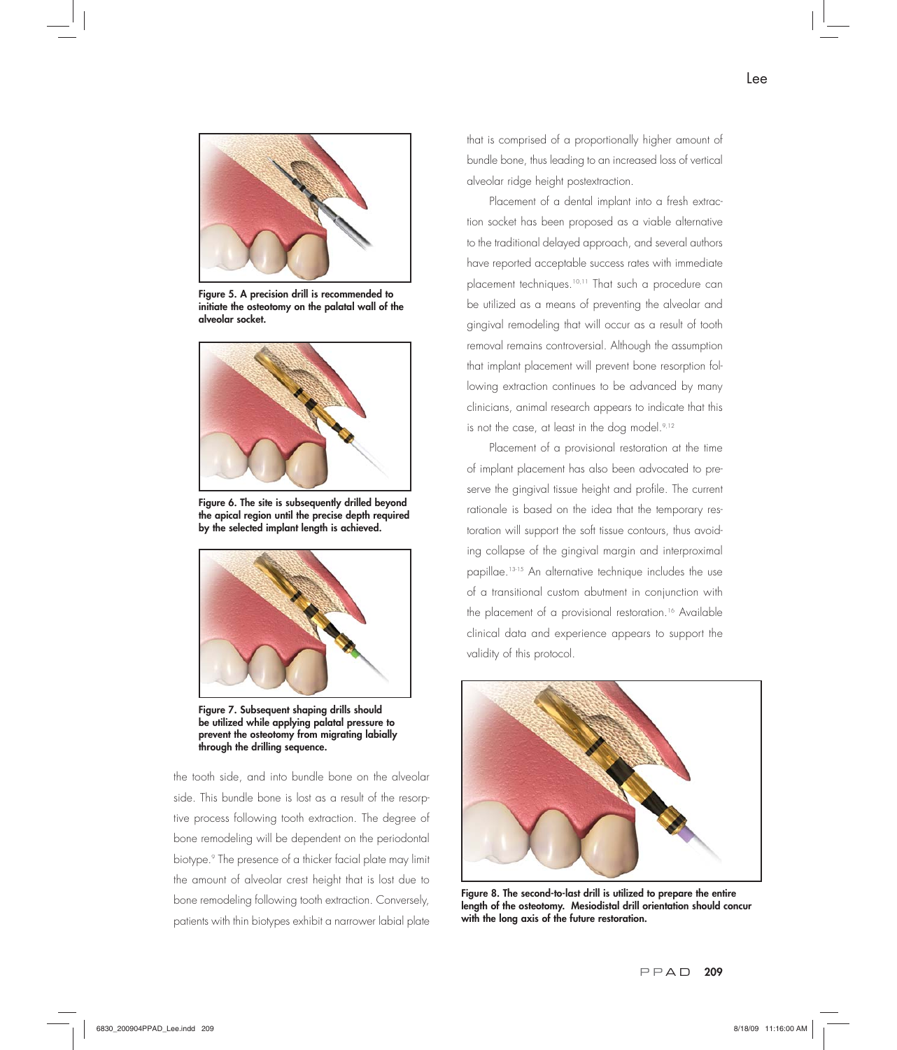

**Figure 5. A precision drill is recommended to initiate the osteotomy on the palatal wall of the alveolar socket.** 



**Figure 6. The site is subsequently drilled beyond the apical region until the precise depth required by the selected implant length is achieved.**



**Figure 7. Subsequent shaping drills should be utilized while applying palatal pressure to prevent the osteotomy from migrating labially through the drilling sequence.**

the tooth side, and into bundle bone on the alveolar side. This bundle bone is lost as a result of the resorptive process following tooth extraction. The degree of bone remodeling will be dependent on the periodontal biotype.9 The presence of a thicker facial plate may limit the amount of alveolar crest height that is lost due to bone remodeling following tooth extraction. Conversely, patients with thin biotypes exhibit a narrower labial plate

that is comprised of a proportionally higher amount of bundle bone, thus leading to an increased loss of vertical alveolar ridge height postextraction.

Placement of a dental implant into a fresh extraction socket has been proposed as a viable alternative to the traditional delayed approach, and several authors have reported acceptable success rates with immediate placement techniques.<sup>10,11</sup> That such a procedure can be utilized as a means of preventing the alveolar and gingival remodeling that will occur as a result of tooth removal remains controversial. Although the assumption that implant placement will prevent bone resorption following extraction continues to be advanced by many clinicians, animal research appears to indicate that this is not the case, at least in the dog model.<sup>9,12</sup>

Placement of a provisional restoration at the time of implant placement has also been advocated to preserve the gingival tissue height and profile. The current rationale is based on the idea that the temporary restoration will support the soft tissue contours, thus avoiding collapse of the gingival margin and interproximal papillae.13-15 An alternative technique includes the use of a transitional custom abutment in conjunction with the placement of a provisional restoration.<sup>16</sup> Available clinical data and experience appears to support the validity of this protocol.



**Figure 8. The second-to-last drill is utilized to prepare the entire length of the osteotomy. Mesiodistal drill orientation should concur with the long axis of the future restoration.**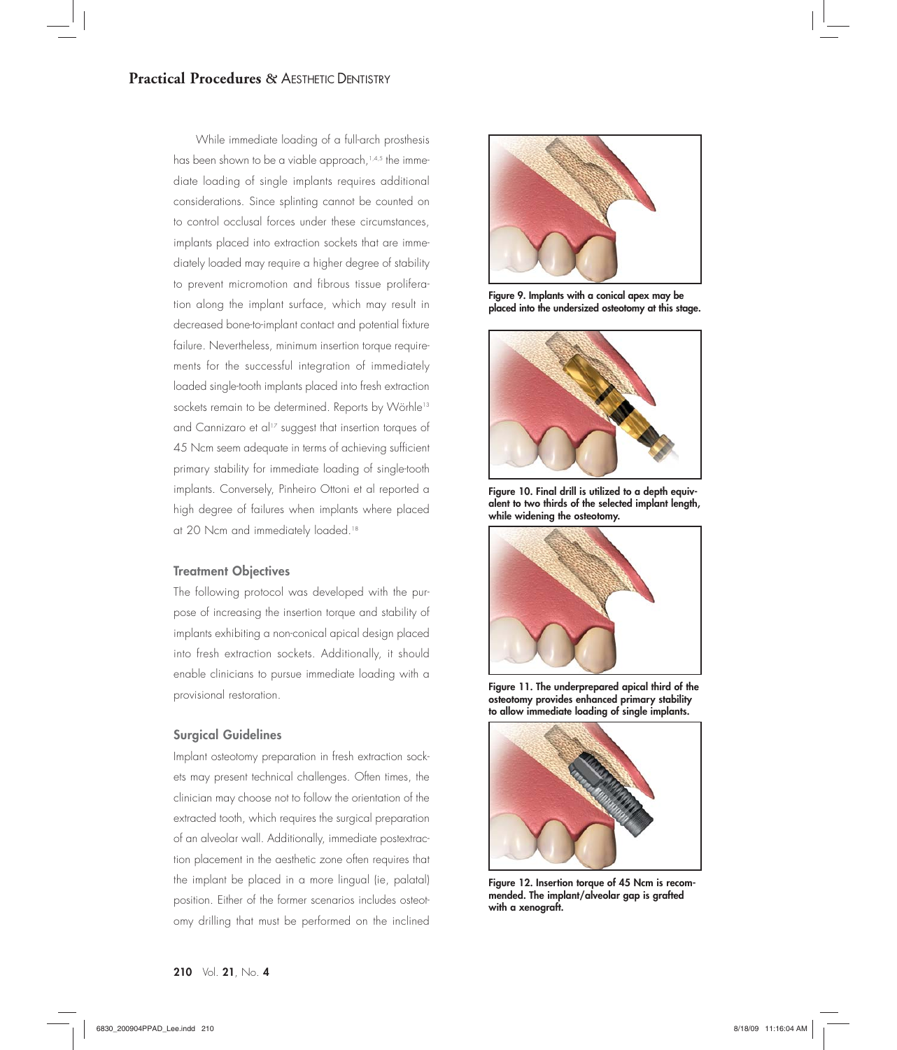While immediate loading of a full-arch prosthesis has been shown to be a viable approach,<sup>1,4,5</sup> the immediate loading of single implants requires additional considerations. Since splinting cannot be counted on to control occlusal forces under these circumstances, implants placed into extraction sockets that are immediately loaded may require a higher degree of stability to prevent micromotion and fibrous tissue proliferation along the implant surface, which may result in decreased bone-to-implant contact and potential fixture failure. Nevertheless, minimum insertion torque requirements for the successful integration of immediately loaded single-tooth implants placed into fresh extraction sockets remain to be determined. Reports by Wörhle<sup>13</sup> and Cannizaro et al<sup>17</sup> suggest that insertion torques of 45 Ncm seem adequate in terms of achieving sufficient primary stability for immediate loading of single-tooth implants. Conversely, Pinheiro Ottoni et al reported a high degree of failures when implants where placed at 20 Ncm and immediately loaded.<sup>18</sup>

## **Treatment Objectives**

The following protocol was developed with the purpose of increasing the insertion torque and stability of implants exhibiting a non-conical apical design placed into fresh extraction sockets. Additionally, it should enable clinicians to pursue immediate loading with a provisional restoration.

## **Surgical Guidelines**

Implant osteotomy preparation in fresh extraction sockets may present technical challenges. Often times, the clinician may choose not to follow the orientation of the extracted tooth, which requires the surgical preparation of an alveolar wall. Additionally, immediate postextraction placement in the aesthetic zone often requires that the implant be placed in a more lingual (ie, palatal) position. Either of the former scenarios includes osteotomy drilling that must be performed on the inclined



**Figure 9. Implants with a conical apex may be placed into the undersized osteotomy at this stage.** 



**Figure 10. Final drill is utilized to a depth equivalent to two thirds of the selected implant length, while widening the osteotomy.**



**Figure 11. The underprepared apical third of the osteotomy provides enhanced primary stability to allow immediate loading of single implants.**



**Figure 12. Insertion torque of 45 Ncm is recommended. The implant/alveolar gap is grafted with a xenograft.**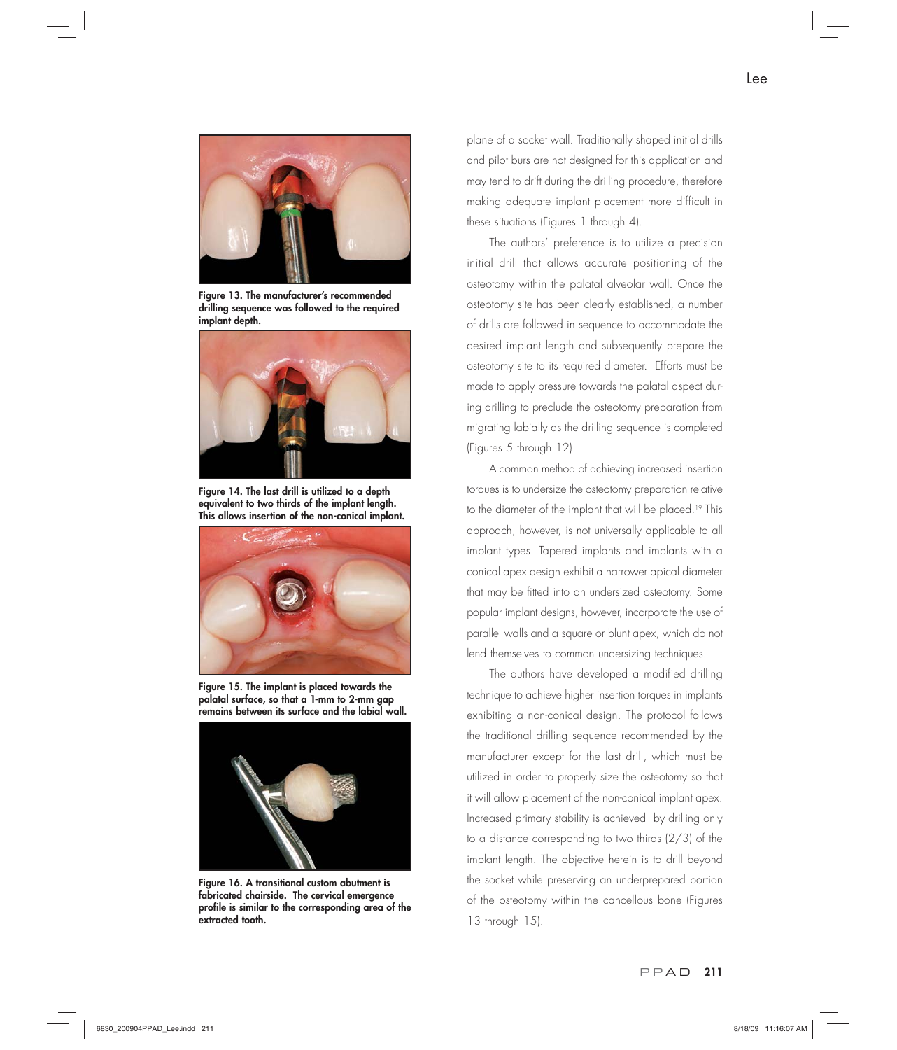

**Figure 13. The manufacturer's recommended drilling sequence was followed to the required implant depth.**



**Figure 14. The last drill is utilized to a depth equivalent to two thirds of the implant length. This allows insertion of the non-conical implant.**



**Figure 15. The implant is placed towards the palatal surface, so that a 1-mm to 2-mm gap remains between its surface and the labial wall.** 



**Figure 16. A transitional custom abutment is fabricated chairside. The cervical emergence profile is similar to the corresponding area of the extracted tooth.**

plane of a socket wall. Traditionally shaped initial drills and pilot burs are not designed for this application and may tend to drift during the drilling procedure, therefore making adequate implant placement more difficult in these situations (Figures 1 through 4).

The authors' preference is to utilize a precision initial drill that allows accurate positioning of the osteotomy within the palatal alveolar wall. Once the osteotomy site has been clearly established, a number of drills are followed in sequence to accommodate the desired implant length and subsequently prepare the osteotomy site to its required diameter. Efforts must be made to apply pressure towards the palatal aspect during drilling to preclude the osteotomy preparation from migrating labially as the drilling sequence is completed (Figures 5 through 12).

A common method of achieving increased insertion torques is to undersize the osteotomy preparation relative to the diameter of the implant that will be placed.<sup>19</sup> This approach, however, is not universally applicable to all implant types. Tapered implants and implants with a conical apex design exhibit a narrower apical diameter that may be fitted into an undersized osteotomy. Some popular implant designs, however, incorporate the use of parallel walls and a square or blunt apex, which do not lend themselves to common undersizing techniques.

The authors have developed a modified drilling technique to achieve higher insertion torques in implants exhibiting a non-conical design. The protocol follows the traditional drilling sequence recommended by the manufacturer except for the last drill, which must be utilized in order to properly size the osteotomy so that it will allow placement of the non-conical implant apex. Increased primary stability is achieved by drilling only to a distance corresponding to two thirds (2/3) of the implant length. The objective herein is to drill beyond the socket while preserving an underprepared portion of the osteotomy within the cancellous bone (Figures 13 through 15).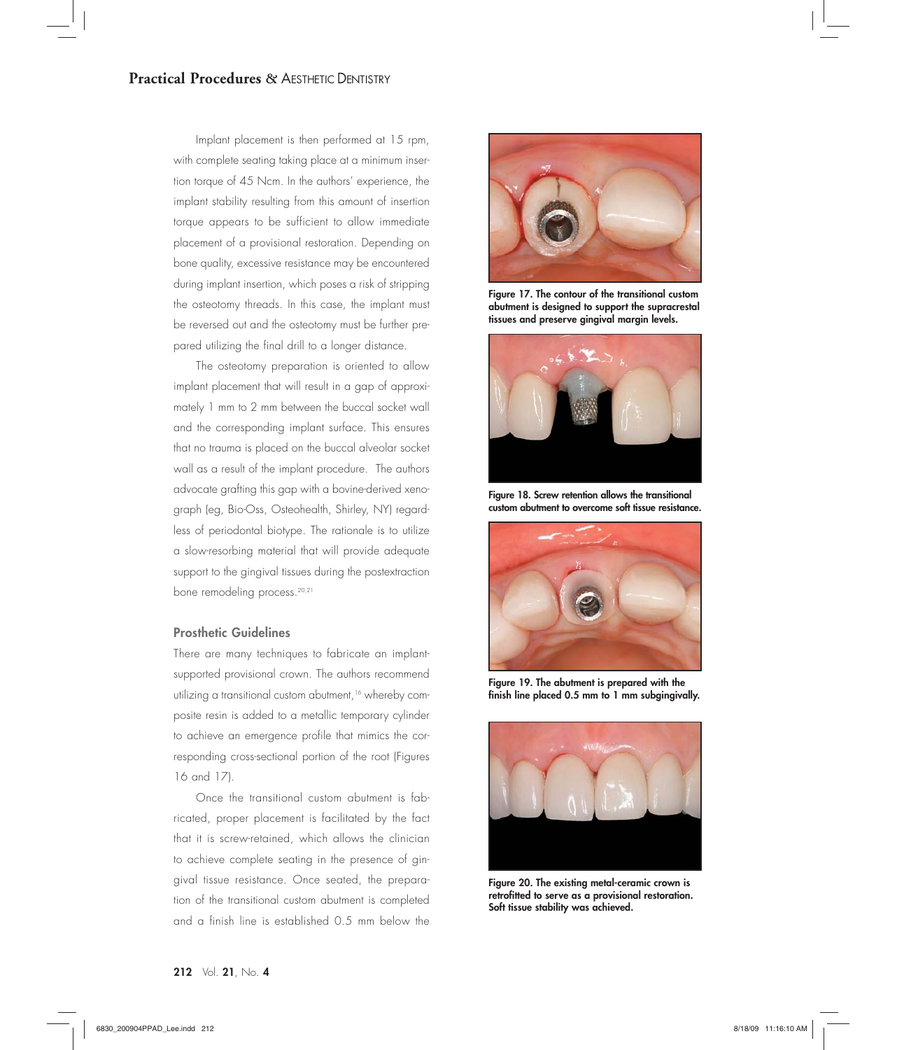Implant placement is then performed at 15 rpm, with complete seating taking place at a minimum insertion torque of 45 Ncm. In the authors' experience, the implant stability resulting from this amount of insertion torque appears to be sufficient to allow immediate placement of a provisional restoration. Depending on bone quality, excessive resistance may be encountered during implant insertion, which poses a risk of stripping the osteotomy threads. In this case, the implant must be reversed out and the osteotomy must be further prepared utilizing the final drill to a longer distance.

The osteotomy preparation is oriented to allow implant placement that will result in a gap of approximately 1 mm to 2 mm between the buccal socket wall and the corresponding implant surface. This ensures that no trauma is placed on the buccal alveolar socket wall as a result of the implant procedure. The authors advocate grafting this gap with a bovine-derived xenograph (eg, Bio-Oss, Osteohealth, Shirley, NY) regardless of periodontal biotype. The rationale is to utilize a slow-resorbing material that will provide adequate support to the gingival tissues during the postextraction bone remodeling process.<sup>20,21</sup>

## **Prosthetic Guidelines**

There are many techniques to fabricate an implantsupported provisional crown. The authors recommend utilizing a transitional custom abutment,<sup>16</sup> whereby composite resin is added to a metallic temporary cylinder to achieve an emergence profile that mimics the corresponding cross-sectional portion of the root (Figures 16 and 17).

Once the transitional custom abutment is fabricated, proper placement is facilitated by the fact that it is screw-retained, which allows the clinician to achieve complete seating in the presence of gingival tissue resistance. Once seated, the preparation of the transitional custom abutment is completed and a finish line is established 0.5 mm below the



**Figure 17. The contour of the transitional custom abutment is designed to support the supracrestal tissues and preserve gingival margin levels.**



**Figure 18. Screw retention allows the transitional custom abutment to overcome soft tissue resistance.** 



**Figure 19. The abutment is prepared with the finish line placed 0.5 mm to 1 mm subgingivally.** 



**Figure 20. The existing metal-ceramic crown is retrofitted to serve as a provisional restoration. Soft tissue stability was achieved.**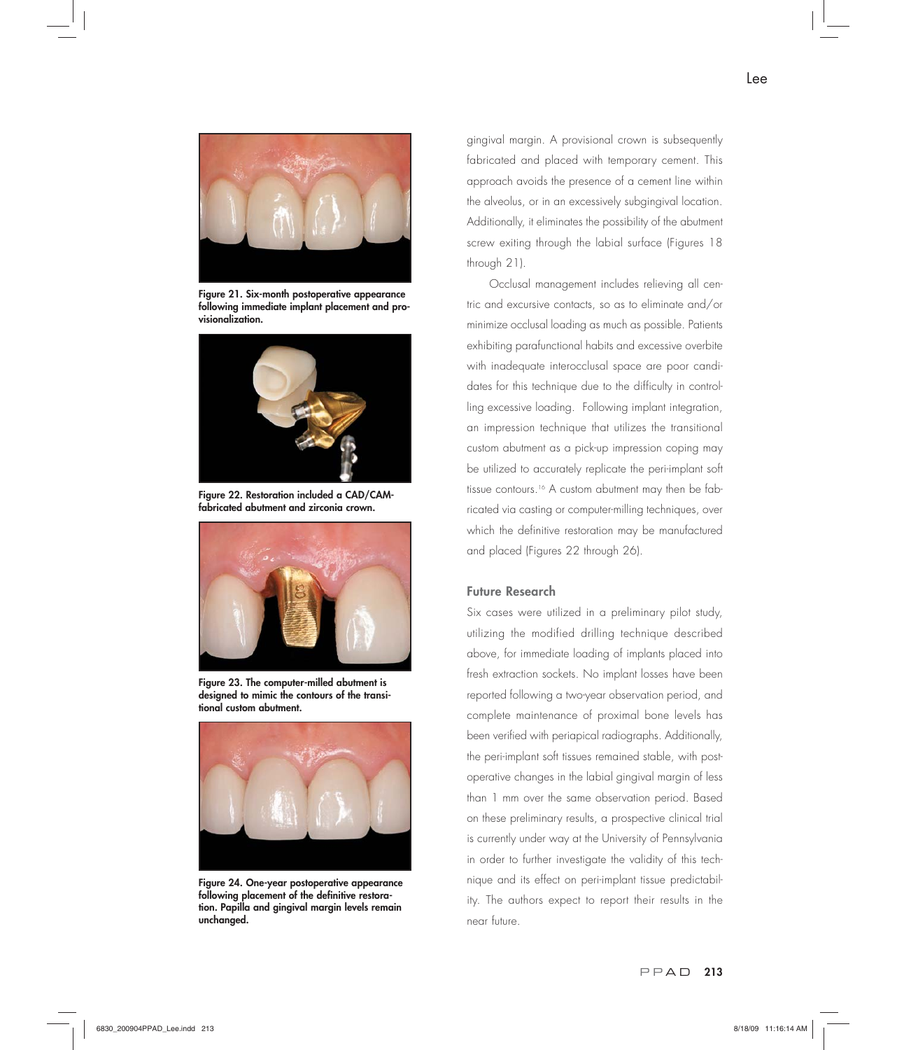

**Figure 21. Six-month postoperative appearance following immediate implant placement and provisionalization.** 



**Figure 22. Restoration included a CAD/CAMfabricated abutment and zirconia crown.** 



**Figure 23. The computer-milled abutment is designed to mimic the contours of the transitional custom abutment.**



**Figure 24. One-year postoperative appearance following placement of the definitive restoration. Papilla and gingival margin levels remain unchanged.**

gingival margin. A provisional crown is subsequently fabricated and placed with temporary cement. This approach avoids the presence of a cement line within the alveolus, or in an excessively subgingival location. Additionally, it eliminates the possibility of the abutment screw exiting through the labial surface (Figures 18 through 21).

Occlusal management includes relieving all centric and excursive contacts, so as to eliminate and/or minimize occlusal loading as much as possible. Patients exhibiting parafunctional habits and excessive overbite with inadequate interocclusal space are poor candidates for this technique due to the difficulty in controlling excessive loading. Following implant integration, an impression technique that utilizes the transitional custom abutment as a pick-up impression coping may be utilized to accurately replicate the peri-implant soft tissue contours.<sup>16</sup> A custom abutment may then be fabricated via casting or computer-milling techniques, over which the definitive restoration may be manufactured and placed (Figures 22 through 26).

## **Future Research**

Six cases were utilized in a preliminary pilot study, utilizing the modified drilling technique described above, for immediate loading of implants placed into fresh extraction sockets. No implant losses have been reported following a two-year observation period, and complete maintenance of proximal bone levels has been verified with periapical radiographs. Additionally, the peri-implant soft tissues remained stable, with postoperative changes in the labial gingival margin of less than 1 mm over the same observation period. Based on these preliminary results, a prospective clinical trial is currently under way at the University of Pennsylvania in order to further investigate the validity of this technique and its effect on peri-implant tissue predictability. The authors expect to report their results in the near future.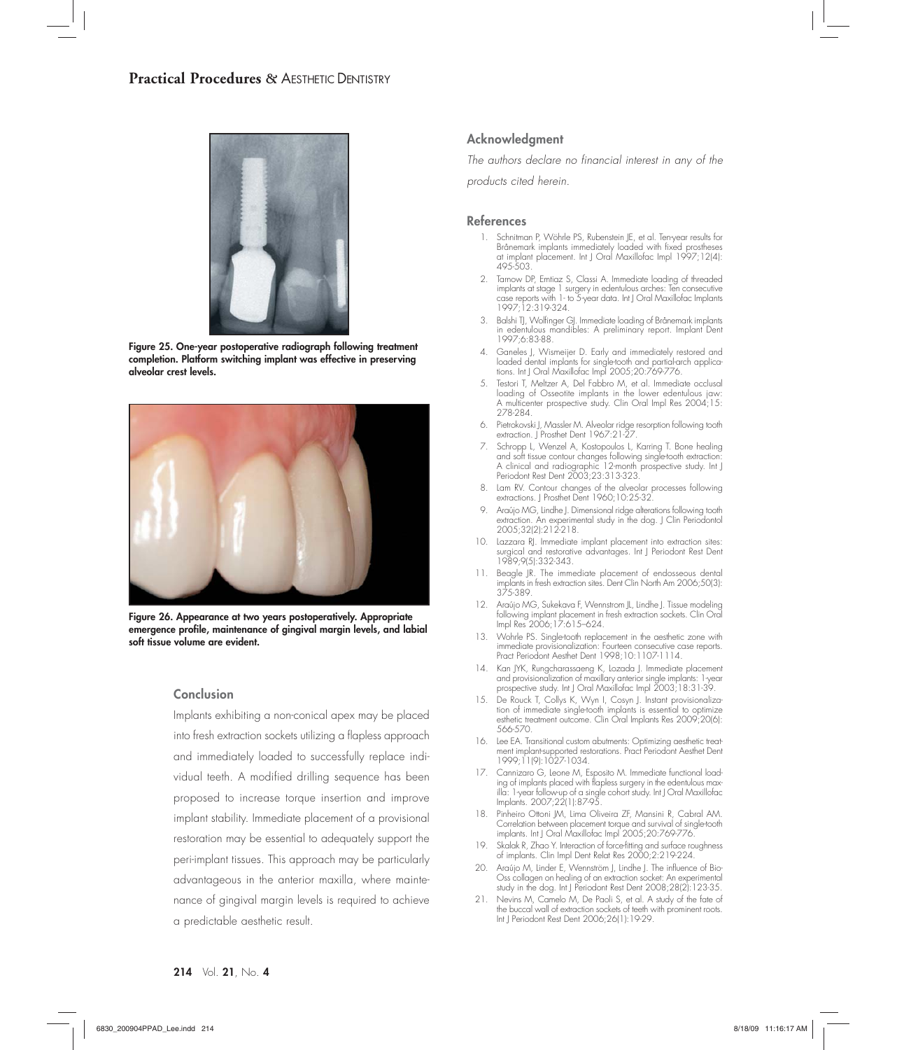

**Figure 25. One-year postoperative radiograph following treatment completion. Platform switching implant was effective in preserving alveolar crest levels.**



**Figure 26. Appearance at two years postoperatively. Appropriate emergence profile, maintenance of gingival margin levels, and labial soft tissue volume are evident.**

#### **Conclusion**

Implants exhibiting a non-conical apex may be placed into fresh extraction sockets utilizing a flapless approach and immediately loaded to successfully replace individual teeth. A modified drilling sequence has been proposed to increase torque insertion and improve implant stability. Immediate placement of a provisional restoration may be essential to adequately support the peri-implant tissues. This approach may be particularly advantageous in the anterior maxilla, where maintenance of gingival margin levels is required to achieve a predictable aesthetic result.

## **Acknowledgment**

*The authors declare no financial interest in any of the* 

*products cited herein.*

### **References**

- 1. Schnitman P, Wöhrle PS, Rubenstein JE, et al. Ten-year results for Brånemark implants immediately loaded with fixed prostheses at implant placement. Int J Oral Maxillofac Impl 1997;12(4): 495-503.
- 2. Tarnow DP, Emtiaz S, Classi A. Immediate loading of threaded implants at stage 1 surgery in edentulous arches: Ten consecutive case reports with 1- to 5-year data. Int J Oral Maxillofac Implants 1997;12:319-324.
- 3. Balshi TJ, Wolfinger GJ. Immediate loading of Brånemark implants in edentulous mandibles: A preliminary report. Implant Dent 1997;6:83-88.
- 4. Ganeles J, Wismeijer D. Early and immediately restored and loaded dental implants for single-tooth and partial-arch applications. Int J Oral Maxillofac Impl 2005;20:769-776.
- 5. Testori T, Meltzer A, Del Fabbro M, et al. Immediate occlusal loading of Osseotite implants in the lower edentulous jaw: A multicenter prospective study. Clin Oral Impl Res 2004;15: 278-284.
- 6. Pietrokovski J, Massler M. Alveolar ridge resorption following tooth extraction. J Prosthet Dent 1967:21-27.
- 7. Schropp L, Wenzel A, Kostopoulos L, Karring T. Bone healing and soft tissue contour changes following single-tooth extraction: A clinical and radiographic 12-month prospective study. Int J Periodont Rest Dent 2003;23:313-323.
- 8. Lam RV. Contour changes of the alveolar processes following extractions. J Prosthet Dent 1960;10:25-32.
- 9. Araújo MG, Lindhe J. Dimensional ridge alterations following tooth extraction. An experimental study in the dog. J Clin Periodontol 2005;32(2):212-218.
- 10. Lazzara RJ. Immediate implant placement into extraction sites: surgical and restorative advantages. Int J Periodont Rest Dent 1989;9(5):332-343.
- 11. Beagle JR. The immediate placement of endosseous dental implants in fresh extraction sites. Dent Clin North Am 2006;50(3): 375-389.
- 12. Araújo MG, Sukekava F, Wennstrom JL, Lindhe J. Tissue modeling following implant placement in fresh extraction sockets. Clin Oral Impl Res 2006;17:615–624.
- 13. Wohrle PS. Single-tooth replacement in the aesthetic zone with immediate provisionalization: Fourteen consecutive case reports. Pract Periodont Aesthet Dent 1998;10:1107-1114.
- 14. Kan JYK, Rungcharassaeng K, Lozada J. Immediate placement and provisionalization of maxillary anterior single implants: 1-year prospective study. Int J Oral Maxillofac Impl 2003;18:31-39.
- 15. De Rouck T, Collys K, Wyn I, Cosyn J. Instant provisionaliza-tion of immediate single-tooth implants is essential to optimize esthetic treatment outcome. Clin Oral Implants Res 2009;20(6): 566-570.
	- 16. Lee EA. Transitional custom abutments: Optimizing aesthetic treatment implant-supported restorations. Pract Periodont Aesthet Dent 1999;11(9):1027-1034.
- 17. Cannizaro G, Leone M, Esposito M. Immediate functional load-ing of implants placed with flapless surgery in the edentulous max-illa: 1-year follow-up of a single cohort study. Int J Oral Maxillofac Implants. 2007;22(1):87-95.
	- 18. Pinheiro Ottoni JM, Lima Oliveira ZF, Mansini R, Cabral AM. Correlation between placement torque and survival of single-tooth implants. Int J Oral Maxillofac Impl 2005;20:769-776.
	- 19. Skalak R, Zhao Y. Interaction of force-fitting and surface roughness of implants. Clin Impl Dent Relat Res 2000;2:219-224.
- 20. Araújo M, Linder E, Wennström J, Lindhe J. The influence of Bio-Oss collagen on healing of an extraction socket: An experimental study in the dog. Int J Periodont Rest Dent 2008;28(2):123-35.
- 21. Nevins M, Camelo M, De Paoli S, et al. A study of the fate of the buccal wall of extraction sockets of teeth with prominent roots. Int J Periodont Rest Dent 2006;26(1):19-29.